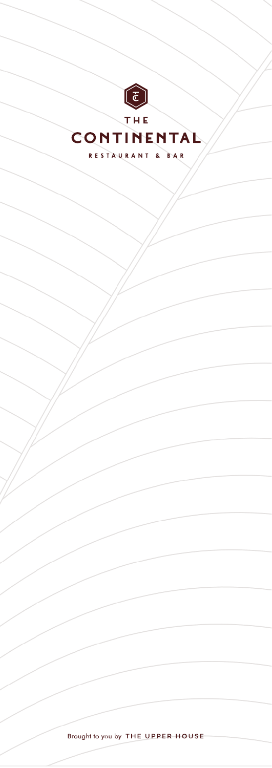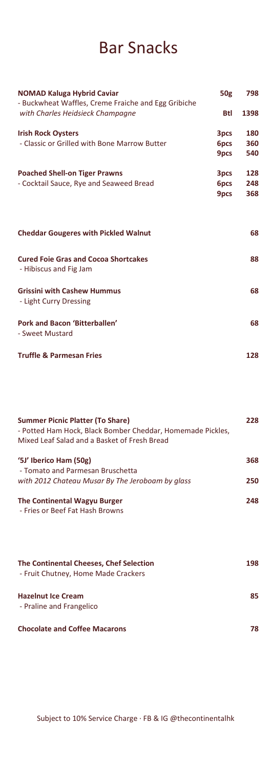### Bar Snacks

| <b>NOMAD Kaluga Hybrid Caviar</b><br>- Buckwheat Waffles, Creme Fraiche and Egg Gribiche |              | 798        |
|------------------------------------------------------------------------------------------|--------------|------------|
| with Charles Heidsieck Champagne                                                         | Btl          | 1398       |
| <b>Irish Rock Oysters</b><br>- Classic or Grilled with Bone Marrow Butter                | 3pcs<br>6pcs | 180<br>360 |
|                                                                                          | 9pcs         | 540        |
| <b>Poached Shell-on Tiger Prawns</b><br>- Cocktail Sauce, Rye and Seaweed Bread          | 3pcs<br>6pcs | 128<br>248 |
|                                                                                          | 9pcs         | 368        |
| <b>Cheddar Gougeres with Pickled Walnut</b>                                              |              | 68         |
| <b>Cured Foie Gras and Cocoa Shortcakes</b><br>- Hibiscus and Fig Jam                    |              | 88         |
| <b>Grissini with Cashew Hummus</b><br>- Light Curry Dressing                             |              | 68         |
| Pork and Bacon 'Bitterballen'<br>- Sweet Mustard                                         |              | 68         |
| <b>Truffle &amp; Parmesan Fries</b>                                                      |              | 128        |

| <b>Summer Picnic Platter (To Share)</b><br>- Potted Ham Hock, Black Bomber Cheddar, Homemade Pickles,<br>Mixed Leaf Salad and a Basket of Fresh Bread | 228 |
|-------------------------------------------------------------------------------------------------------------------------------------------------------|-----|
| '5J' Iberico Ham (50g)<br>- Tomato and Parmesan Bruschetta                                                                                            | 368 |
| with 2012 Chateau Musar By The Jeroboam by glass                                                                                                      | 250 |
| The Continental Wagyu Burger<br>- Fries or Beef Fat Hash Browns                                                                                       | 248 |
| The Continental Cheeses, Chef Selection<br>- Fruit Chutney, Home Made Crackers                                                                        | 198 |
| <b>Hazelnut Ice Cream</b><br>- Praline and Frangelico                                                                                                 | 85  |
| <b>Chocolate and Coffee Macarons</b>                                                                                                                  | 78  |

Subject to 10% Service Charge · FB & IG @thecontinentalhk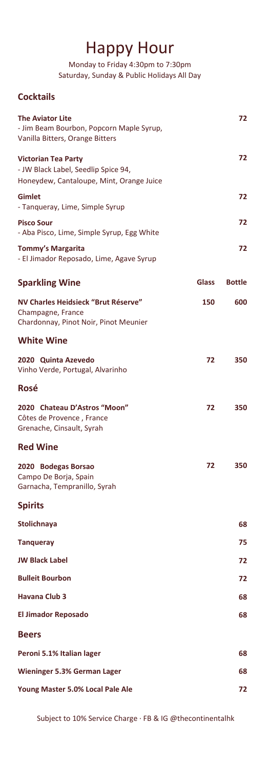#### Happy Hour

Monday to Friday 4:30pm to 7:30pm Saturday, Sunday & Public Holidays All Day

#### **Cocktails**

| The Aviator Lite<br>- Jim Beam Bourbon, Popcorn Maple Syrup,<br>Vanilla Bitters, Orange Bitters        |       | 72            |
|--------------------------------------------------------------------------------------------------------|-------|---------------|
| Victorian Tea Party<br>- JW Black Label, Seedlip Spice 94,<br>Honeydew, Cantaloupe, Mint, Orange Juice |       | 72            |
| Gimlet<br>- Tanqueray, Lime, Simple Syrup                                                              |       | 72            |
| Pisco Sour<br>- Aba Pisco, Lime, Simple Syrup, Egg White                                               |       | 72            |
| Tommy's Margarita<br>- El Jimador Reposado, Lime, Agave Syrup                                          |       | 72            |
| <b>Sparkling Wine</b>                                                                                  | Glass | <b>Bottle</b> |
| NV Charles Heidsieck "Brut Réserve"<br>Champagne, France<br>Chardonnay, Pinot Noir, Pinot Meunier      | 150   | 600           |
| <b>White Wine</b>                                                                                      |       |               |
| 2020 Quinta Azevedo<br>Vinho Verde, Portugal, Alvarinho                                                | 72    | 350           |
| Rosé                                                                                                   |       |               |
| 2020 Chateau D'Astros "Moon"<br>Côtes de Provence, France<br>Grenache, Cinsault, Syrah                 | 72    | 350           |
| <b>Red Wine</b>                                                                                        |       |               |
| 2020 Bodegas Borsao<br>Campo De Borja, Spain<br>Garnacha, Tempranillo, Syrah                           | 72    | 350           |
| <b>Spirits</b>                                                                                         |       |               |
| Stolichnaya                                                                                            |       | 68            |
| <b>Tanqueray</b>                                                                                       |       | 75            |
| JW Black Label                                                                                         |       | 72            |
| <b>Bulleit Bourbon</b>                                                                                 |       | 72            |
| Havana Club 3                                                                                          |       | 68            |
| <b>El Jimador Reposado</b>                                                                             |       | 68            |
| Beers                                                                                                  |       |               |
| Peroni 5.1% Italian lager                                                                              |       | 68            |
| <b>Wieninger 5.3% German Lager</b>                                                                     |       | 68            |
| Young Master 5.0% Local Pale Ale                                                                       |       | 72            |

Subject to 10% Service Charge · FB & IG @thecontinentalhk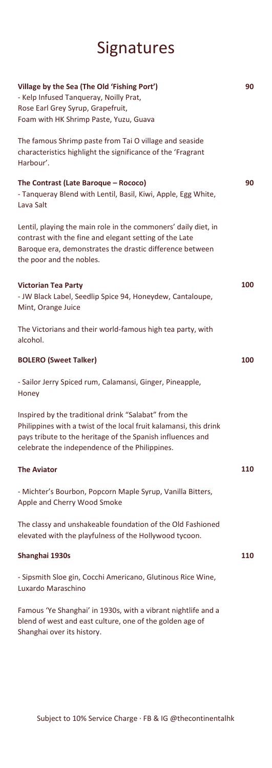# Signatures

| Village by the Sea (The Old 'Fishing Port')<br>- Kelp Infused Tangueray, Noilly Prat,<br>Rose Earl Grey Syrup, Grapefruit,<br>Foam with HK Shrimp Paste, Yuzu, Guava                                                                      | 90  |
|-------------------------------------------------------------------------------------------------------------------------------------------------------------------------------------------------------------------------------------------|-----|
| The famous Shrimp paste from Tai O village and seaside<br>characteristics highlight the significance of the 'Fragrant<br>Harbour'.                                                                                                        |     |
| The Contrast (Late Baroque - Rococo)<br>- Tanqueray Blend with Lentil, Basil, Kiwi, Apple, Egg White,<br>Lava Salt                                                                                                                        | 90  |
| Lentil, playing the main role in the commoners' daily diet, in<br>contrast with the fine and elegant setting of the Late<br>Baroque era, demonstrates the drastic difference between<br>the poor and the nobles.                          |     |
| <b>Victorian Tea Party</b><br>- JW Black Label, Seedlip Spice 94, Honeydew, Cantaloupe,<br>Mint, Orange Juice                                                                                                                             | 100 |
| The Victorians and their world-famous high tea party, with<br>alcohol.                                                                                                                                                                    |     |
| <b>BOLERO (Sweet Talker)</b>                                                                                                                                                                                                              | 100 |
| - Sailor Jerry Spiced rum, Calamansi, Ginger, Pineapple,<br>Honey                                                                                                                                                                         |     |
| Inspired by the traditional drink "Salabat" from the<br>Philippines with a twist of the local fruit kalamansi, this drink<br>pays tribute to the heritage of the Spanish influences and<br>celebrate the independence of the Philippines. |     |
| <b>The Aviator</b>                                                                                                                                                                                                                        | 110 |
| - Michter's Bourbon, Popcorn Maple Syrup, Vanilla Bitters,<br>Apple and Cherry Wood Smoke                                                                                                                                                 |     |
| The classy and unshakeable foundation of the Old Fashioned<br>elevated with the playfulness of the Hollywood tycoon.                                                                                                                      |     |
| Shanghai 1930s                                                                                                                                                                                                                            | 110 |
| - Sipsmith Sloe gin, Cocchi Americano, Glutinous Rice Wine,<br>Luxardo Maraschino                                                                                                                                                         |     |
| Famous 'Ye Shanghai' in 1930s, with a vibrant nightlife and a<br>blend of west and east culture, one of the golden age of<br>Shanghai over its history.                                                                                   |     |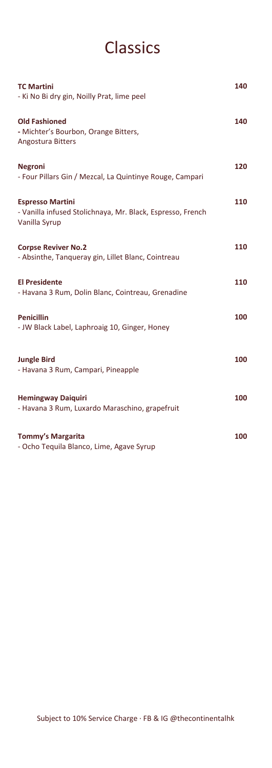# Classics

| <b>TC Martini</b><br>- Ki No Bi dry gin, Noilly Prat, lime peel                                        | 140 |
|--------------------------------------------------------------------------------------------------------|-----|
| <b>Old Fashioned</b><br>- Michter's Bourbon, Orange Bitters,<br><b>Angostura Bitters</b>               | 140 |
| <b>Negroni</b><br>- Four Pillars Gin / Mezcal, La Quintinye Rouge, Campari                             | 120 |
| <b>Espresso Martini</b><br>- Vanilla infused Stolichnaya, Mr. Black, Espresso, French<br>Vanilla Syrup | 110 |
| <b>Corpse Reviver No.2</b><br>- Absinthe, Tanqueray gin, Lillet Blanc, Cointreau                       | 110 |
| <b>El Presidente</b><br>- Havana 3 Rum, Dolin Blanc, Cointreau, Grenadine                              | 110 |
| <b>Penicillin</b><br>- JW Black Label, Laphroaig 10, Ginger, Honey                                     | 100 |
| <b>Jungle Bird</b><br>- Havana 3 Rum, Campari, Pineapple                                               | 100 |
| <b>Hemingway Daiquiri</b><br>- Havana 3 Rum, Luxardo Maraschino, grapefruit                            | 100 |
| <b>Tommy's Margarita</b><br>- Ocho Tequila Blanco, Lime, Agave Syrup                                   | 100 |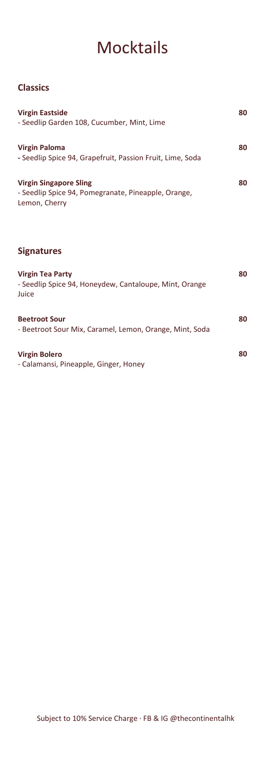## **Mocktails**

#### **Classics**

| <b>Virgin Eastside</b><br>- Seedlip Garden 108, Cucumber, Mint, Lime                           | 80 |
|------------------------------------------------------------------------------------------------|----|
| <b>Virgin Paloma</b><br>- Seedlip Spice 94, Grapefruit, Passion Fruit, Lime, Soda              | 80 |
| Virgin Singapore Sling<br>- Seedlip Spice 94, Pomegranate, Pineapple, Orange,<br>Lemon, Cherry | 80 |

#### **Signatures**

| <b>Virgin Tea Party</b><br>- Seedlip Spice 94, Honeydew, Cantaloupe, Mint, Orange<br>Juice | 80 |
|--------------------------------------------------------------------------------------------|----|
| <b>Beetroot Sour</b><br>- Beetroot Sour Mix, Caramel, Lemon, Orange, Mint, Soda            | 80 |
| Virgin Bolero<br>- Calamansi, Pineapple, Ginger, Honey                                     | 80 |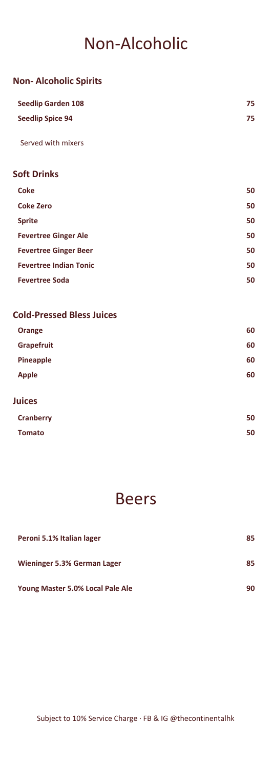## Non-Alcoholic

| <b>Non-Alcoholic Spirits</b>     |    |
|----------------------------------|----|
| <b>Seedlip Garden 108</b>        | 75 |
| <b>Seedlip Spice 94</b>          | 75 |
| Served with mixers               |    |
| <b>Soft Drinks</b>               |    |
| <b>Coke</b>                      | 50 |
| <b>Coke Zero</b>                 | 50 |
| <b>Sprite</b>                    | 50 |
| <b>Fevertree Ginger Ale</b>      | 50 |
| <b>Fevertree Ginger Beer</b>     | 50 |
| <b>Fevertree Indian Tonic</b>    | 50 |
| <b>Fevertree Soda</b>            | 50 |
| <b>Cold-Pressed Bless Juices</b> |    |
| Orange                           | 60 |
| Grapefruit                       | 60 |
| Pineapple                        | 60 |
| <b>Apple</b>                     | 60 |
|                                  |    |

| <b>Juices</b> |    |
|---------------|----|
| Cranberry     | 50 |
| <b>Tomato</b> | 50 |

#### Beers

| Peroni 5.1% Italian lager        | 85 |
|----------------------------------|----|
| Wieninger 5.3% German Lager      | 85 |
| Young Master 5.0% Local Pale Ale | 90 |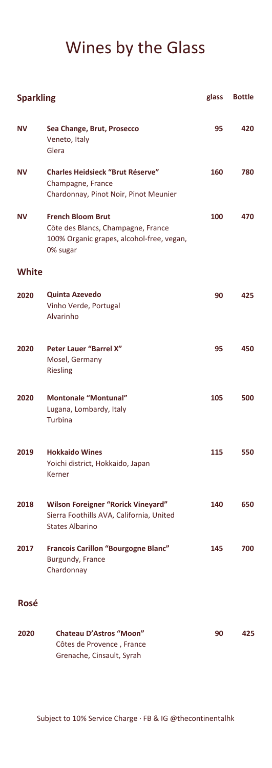# Wines by the Glass

| <b>Sparkling</b> |                                                                                                                         | glass | <b>Bottle</b> |
|------------------|-------------------------------------------------------------------------------------------------------------------------|-------|---------------|
| ΝV               | Sea Change, Brut, Prosecco<br>Veneto, Italy<br>Glera                                                                    | 95    | 420           |
| ΝV               | <b>Charles Heidsieck "Brut Réserve"</b><br>Champagne, France<br>Chardonnay, Pinot Noir, Pinot Meunier                   | 160   | 780           |
| ΝV               | <b>French Bloom Brut</b><br>Côte des Blancs, Champagne, France<br>100% Organic grapes, alcohol-free, vegan,<br>0% sugar | 100   | 470           |
| <b>White</b>     |                                                                                                                         |       |               |
| 2020             | <b>Quinta Azevedo</b><br>Vinho Verde, Portugal<br>Alvarinho                                                             | 90    | 425           |
| 2020             | <b>Peter Lauer "Barrel X"</b><br>Mosel, Germany<br><b>Riesling</b>                                                      | 95    | 450           |
| 2020             | <b>Montonale "Montunal"</b><br>Lugana, Lombardy, Italy<br>Turbina                                                       | 105   | 500           |
| 2019             | <b>Hokkaido Wines</b><br>Yoichi district, Hokkaido, Japan<br>Kerner                                                     | 115   | 550           |
| 2018             | <b>Wilson Foreigner "Rorick Vineyard"</b><br>Sierra Foothills AVA, California, United<br><b>States Albarino</b>         | 140   | 650           |
| 2017             | Francois Carillon "Bourgogne Blanc"<br>Burgundy, France<br>Chardonnay                                                   | 145   | 700           |
| Rosé             |                                                                                                                         |       |               |
| 2020             | <b>Chateau D'Astros "Moon"</b><br>Côtes de Provence, France                                                             | 90    | 425           |

Grenache, Cinsault, Syrah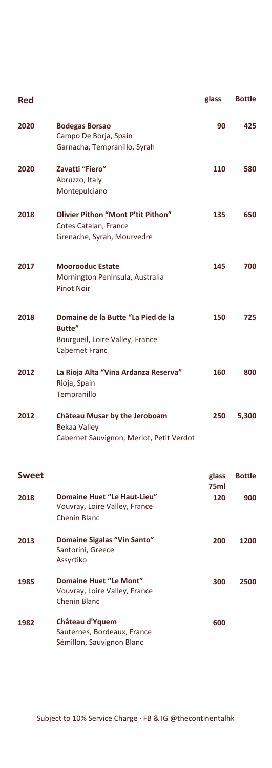| Red          |                                                                                                          | glass         | <b>Bottle</b> |
|--------------|----------------------------------------------------------------------------------------------------------|---------------|---------------|
| 2020         | <b>Bodegas Borsao</b><br>Campo De Borja, Spain<br>Garnacha, Tempranillo, Syrah                           | 90            | 425           |
| 2020         | Zavatti "Fiero"<br>Abruzzo, Italy<br>Montepulciano                                                       | 110           | 580           |
| 2018         | Olivier Pithon "Mont P'tit Pithon"<br>Cotes Catalan, France<br>Grenache, Syrah, Mourvedre                | 135           | 650           |
| 2017         | <b>Moorooduc Estate</b><br>Mornington Peninsula, Australia<br><b>Pinot Noir</b>                          | 145           | 700           |
| 2018         | Domaine de la Butte "La Pied de la<br>Butte"<br>Bourgueil, Loire Valley, France<br><b>Cabernet Franc</b> | 150           | 725           |
| 2012         | La Rioja Alta "Vina Ardanza Reserva"<br>Rioja, Spain<br>Tempranillo                                      | 160           | 800           |
| 2012         | <b>Château Musar by the Jeroboam</b><br>Bekaa Valley<br>Cabernet Sauvignon, Merlot, Petit Verdot         | 250           | 5,300         |
| <b>Sweet</b> |                                                                                                          | glass<br>75ml | <b>Bottle</b> |
| 2018         | Domaine Huet "Le Haut-Lieu"<br>Vouvray, Loire Valley, France<br><b>Chenin Blanc</b>                      | 120           | 900           |
| 2013         | Domaine Sigalas "Vin Santo"<br>Santorini, Greece<br>Assyrtiko                                            | 200           | 1200          |
| 1985         | Domaine Huet "Le Mont"<br>Vouvray, Loire Valley, France<br>Chenin Blanc                                  | 300           | 2500          |
| 1982         | Château d'Yquem<br>Sauternes, Bordeaux, France<br>Sémillon, Sauvignon Blanc                              | 600           |               |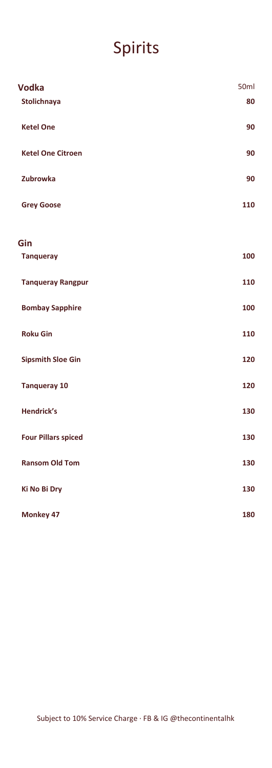# Spirits

| <b>Vodka</b>               | 50 <sub>ml</sub> |
|----------------------------|------------------|
| Stolichnaya                | 80               |
| <b>Ketel One</b>           | 90               |
| <b>Ketel One Citroen</b>   | 90               |
| Zubrowka                   | 90               |
| <b>Grey Goose</b>          | 110              |
| Gin                        |                  |
| <b>Tanqueray</b>           | 100              |
| <b>Tanqueray Rangpur</b>   | 110              |
| <b>Bombay Sapphire</b>     | 100              |
| <b>Roku Gin</b>            | 110              |
| <b>Sipsmith Sloe Gin</b>   | 120              |
| <b>Tanqueray 10</b>        | 120              |
| <b>Hendrick's</b>          | 130              |
| <b>Four Pillars spiced</b> | 130              |
| <b>Ransom Old Tom</b>      | 130              |
| <b>Ki No Bi Dry</b>        | 130              |
| Monkey 47                  | 180              |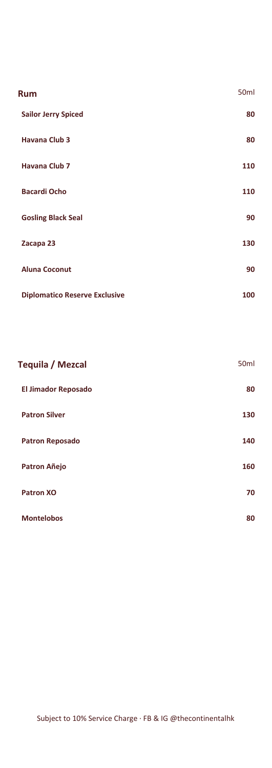| Rum                                  | 50ml |
|--------------------------------------|------|
| <b>Sailor Jerry Spiced</b>           | 80   |
| <b>Havana Club 3</b>                 | 80   |
| <b>Havana Club 7</b>                 | 110  |
| <b>Bacardi Ocho</b>                  | 110  |
| <b>Gosling Black Seal</b>            | 90   |
| Zacapa 23                            | 130  |
| <b>Aluna Coconut</b>                 | 90   |
| <b>Diplomatico Reserve Exclusive</b> | 100  |

| Tequila / Mezcal           | 50 <sub>ml</sub> |
|----------------------------|------------------|
| <b>El Jimador Reposado</b> | 80               |
| <b>Patron Silver</b>       | 130              |
| <b>Patron Reposado</b>     | 140              |
| Patron Añejo               | 160              |
| <b>Patron XO</b>           | 70               |
| <b>Montelobos</b>          | 80               |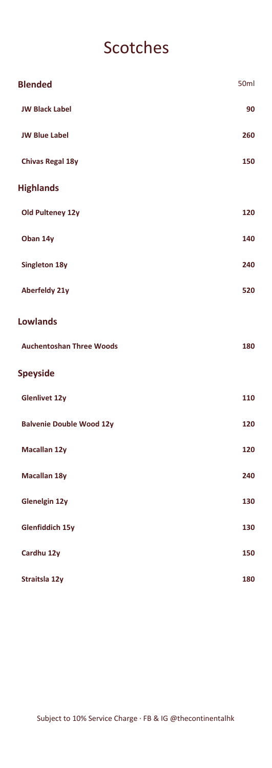### Scotches

| <b>Blended</b>                  | 50ml |
|---------------------------------|------|
| <b>JW Black Label</b>           | 90   |
| <b>JW Blue Label</b>            | 260  |
| <b>Chivas Regal 18y</b>         | 150  |
| <b>Highlands</b>                |      |
| Old Pulteney 12y                | 120  |
| Oban 14y                        | 140  |
| Singleton 18y                   | 240  |
| Aberfeldy 21y                   | 520  |
| <b>Lowlands</b>                 |      |
| <b>Auchentoshan Three Woods</b> | 180  |
| <b>Speyside</b>                 |      |
| <b>Glenlivet 12y</b>            | 110  |
| <b>Balvenie Double Wood 12y</b> | 120  |
| Macallan 12y                    | 120  |
| Macallan 18y                    | 240  |
| Glenelgin 12y                   | 130  |
| <b>Glenfiddich 15y</b>          | 130  |
| Cardhu 12y                      | 150  |
| Straitsla 12y                   | 180  |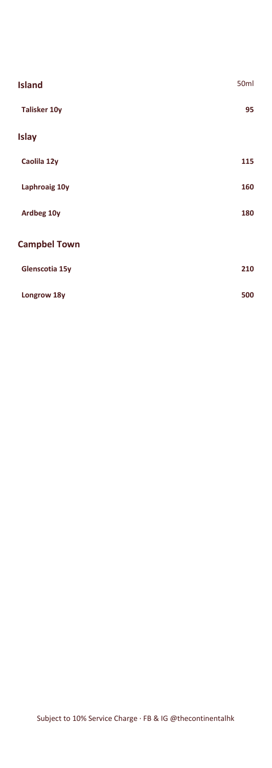| <b>Island</b>       | 50 <sub>ml</sub> |
|---------------------|------------------|
| <b>Talisker 10y</b> | 95               |
| <b>Islay</b>        |                  |
| Caolila 12y         | 115              |
| Laphroaig 10y       | 160              |
| Ardbeg 10y          | 180              |
| <b>Campbel Town</b> |                  |
| Glenscotia 15y      | 210              |
| Longrow 18y         | 500              |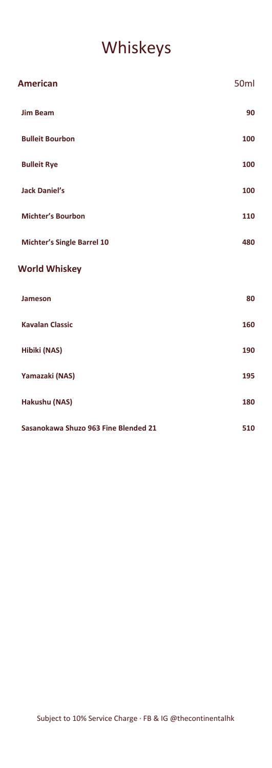# Whiskeys

| <b>American</b>                      | 50ml |
|--------------------------------------|------|
| <b>Jim Beam</b>                      | 90   |
| <b>Bulleit Bourbon</b>               | 100  |
| <b>Bulleit Rye</b>                   | 100  |
| <b>Jack Daniel's</b>                 | 100  |
| <b>Michter's Bourbon</b>             | 110  |
| <b>Michter's Single Barrel 10</b>    | 480  |
| <b>World Whiskey</b>                 |      |
| Jameson                              | 80   |
| <b>Kavalan Classic</b>               | 160  |
| Hibiki (NAS)                         | 190  |
| Yamazaki (NAS)                       | 195  |
| Hakushu (NAS)                        | 180  |
| Sasanokawa Shuzo 963 Fine Blended 21 | 510  |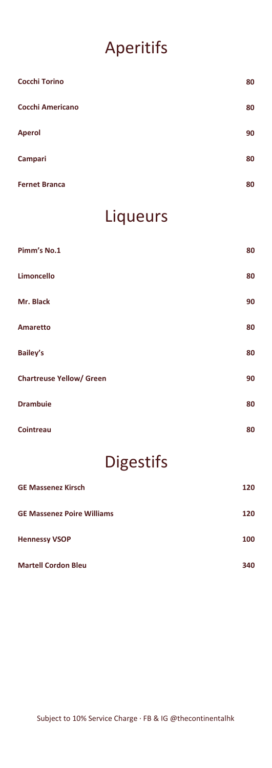# Aperitifs

| <b>Cocchi Torino</b>    | 80 |
|-------------------------|----|
| <b>Cocchi Americano</b> | 80 |
| <b>Aperol</b>           | 90 |
| Campari                 | 80 |
| <b>Fernet Branca</b>    | 80 |

#### Liqueurs

| Pimm's No.1                     | 80 |
|---------------------------------|----|
| Limoncello                      | 80 |
| Mr. Black                       | 90 |
| Amaretto                        | 80 |
| <b>Bailey's</b>                 | 80 |
| <b>Chartreuse Yellow/ Green</b> | 90 |
| <b>Drambuie</b>                 | 80 |
| Cointreau                       | 80 |

# Digestifs

| <b>GE Massenez Kirsch</b>         | 120 |
|-----------------------------------|-----|
| <b>GE Massenez Poire Williams</b> | 120 |
| <b>Hennessy VSOP</b>              | 100 |
| <b>Martell Cordon Bleu</b>        | 340 |